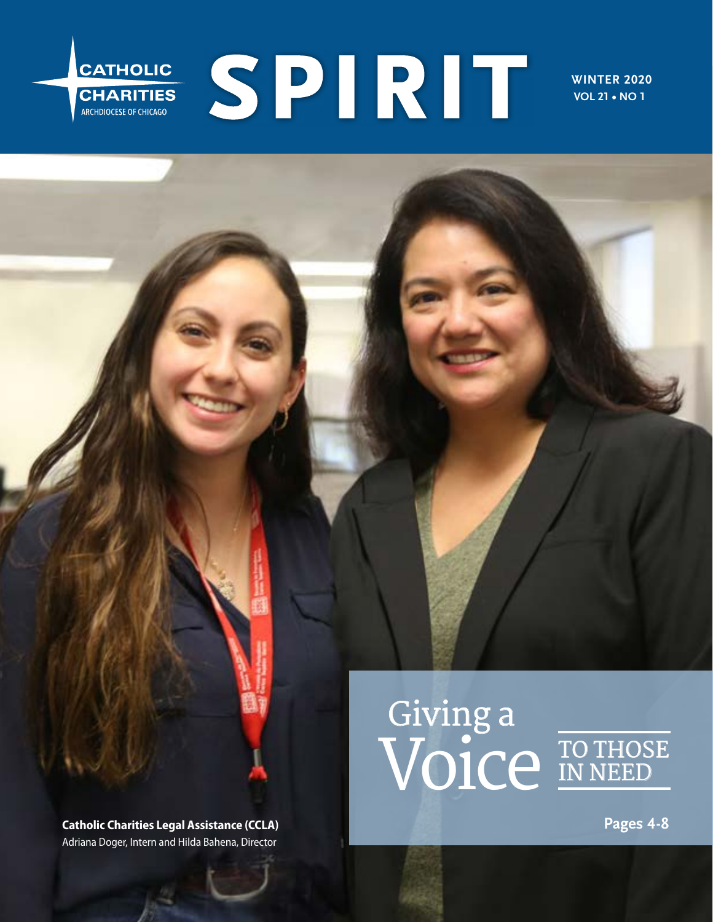# SPIRIT CATHOLIC **CHARITIES**<br>ARCHDIOCESE OF CHICAGO

**WINTER 2020 VOL 21 • NO 1**

**Catholic Charities Legal Assistance (CCLA)** Adriana Doger, Intern and Hilda Bahena, Director

# **Giving a Voice TO THOSE**



**Pages 4-8**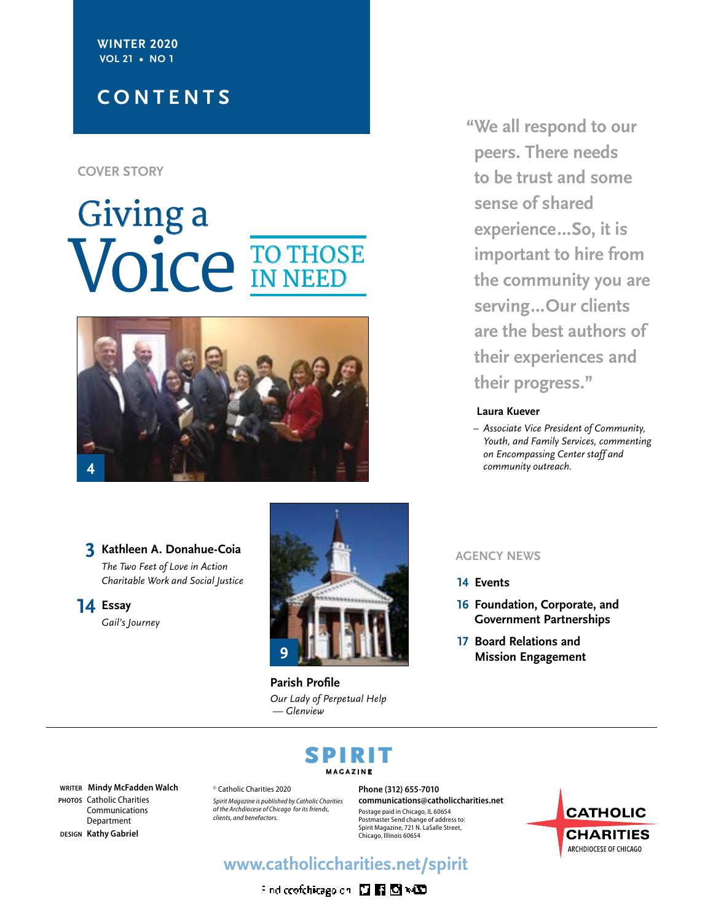#### **WINTER 2020 VOL 21 • NO 1**

# **CONTENTS**

#### **COVER STORY**

# **Giving a Voice TO THOSE IN NEED**



#### **3** Kathleen A. Donahue-Coia **Kathleen A. Donahue-Coia** *The Two Feet of Love in Action Charitable Work and Social Justice*

**14 Essay** *Gail's Journey*



**Parish Profile** *Our Lady of Perpetual Help — Glenview*

**"We all respond to our peers. There needs to be trust and some sense of shared experience…So, it is important to hire from the community you are serving…Our clients are the best authors of their experiences and their progress."** 

#### **Laura Kuever**

*– Associate Vice President of Community, Youth, and Family Services, commenting on Encompassing Center staff and community outreach.*

- **14 Events**
- **16 Foundation, Corporate, and Government Partnerships**
- **17 Board Relations and Mission Engagement**

# SPIRIT **MAGAZINE**

**WRITER Mindy McFadden Walch PHOTOS** Catholic Charities Communications Department **DESIGN Kathy Gabriel**

© Catholic Charities 2020 *Spirit Magazine is published by Catholic Charities of the Archdiocese of Chicago for its friends, clients, and benefactors.*

**Phone (312) 655-7010 communications@catholiccharities.net** Postage paid in Chicago, IL 60654 Postmaster Send change of address to: Spirit Magazine, 721 N. LaSalle Street, Chicago, Illinois 60654



# **www.catholiccharities.net/spirit**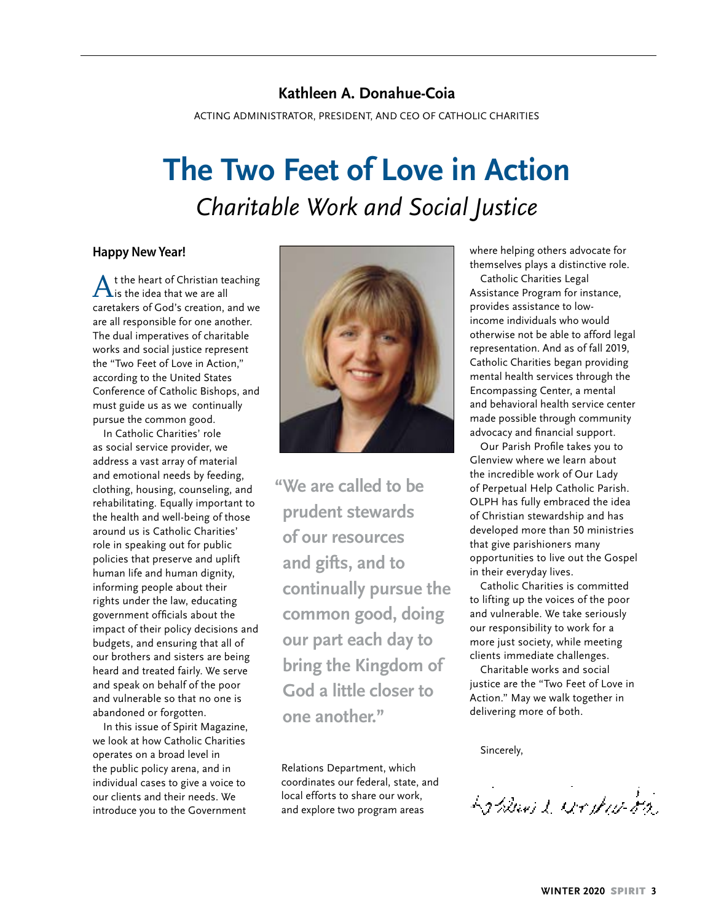# **Kathleen A. Donahue-Coia**

ACTING ADMINISTRATOR, PRESIDENT, AND CEO OF CATHOLIC CHARITIES

# **The Two Feet of Love in Action** *Charitable Work and Social Justice*

#### **Happy New Year!**

 $\bigwedge$  t the heart of Christian teaching<br>is the idea that we are all caretakers of God's creation, and we are all responsible for one another. The dual imperatives of charitable works and social justice represent the "Two Feet of Love in Action," according to the United States Conference of Catholic Bishops, and must guide us as we continually pursue the common good.

In Catholic Charities' role as social service provider, we address a vast array of material and emotional needs by feeding, clothing, housing, counseling, and rehabilitating. Equally important to the health and well-being of those around us is Catholic Charities' role in speaking out for public policies that preserve and uplift human life and human dignity, informing people about their rights under the law, educating government officials about the impact of their policy decisions and budgets, and ensuring that all of our brothers and sisters are being heard and treated fairly. We serve and speak on behalf of the poor and vulnerable so that no one is abandoned or forgotten.

In this issue of Spirit Magazine, we look at how Catholic Charities operates on a broad level in the public policy arena, and in individual cases to give a voice to our clients and their needs. We introduce you to the Government



**"We are called to be prudent stewards of our resources and gifts, and to continually pursue the common good, doing our part each day to bring the Kingdom of God a little closer to one another."** 

Relations Department, which coordinates our federal, state, and local efforts to share our work, and explore two program areas

where helping others advocate for themselves plays a distinctive role.

Catholic Charities Legal Assistance Program for instance, provides assistance to lowincome individuals who would otherwise not be able to afford legal representation. And as of fall 2019, Catholic Charities began providing mental health services through the Encompassing Center, a mental and behavioral health service center made possible through community advocacy and financial support.

Our Parish Profile takes you to Glenview where we learn about the incredible work of Our Lady of Perpetual Help Catholic Parish. OLPH has fully embraced the idea of Christian stewardship and has developed more than 50 ministries that give parishioners many opportunities to live out the Gospel in their everyday lives.

Catholic Charities is committed to lifting up the voices of the poor and vulnerable. We take seriously our responsibility to work for a more just society, while meeting clients immediate challenges.

Charitable works and social justice are the "Two Feet of Love in Action." May we walk together in delivering more of both.

Sincerely,

La Blogiet working of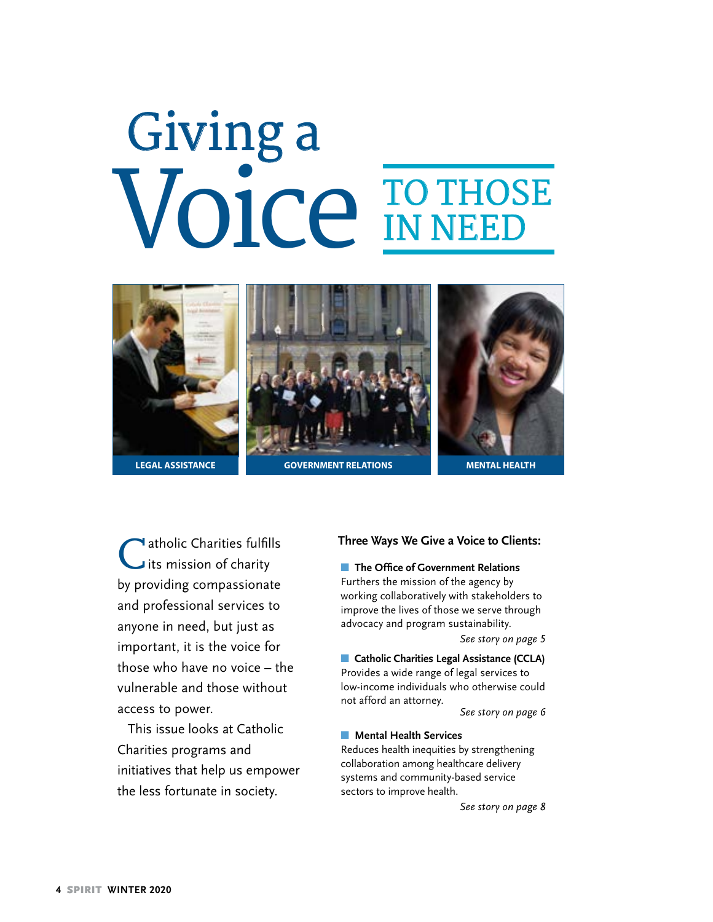# **Giving a Voice TO THOSE IN NEED**



I atholic Charities fulfills its mission of charity by providing compassionate and professional services to anyone in need, but just as important, it is the voice for those who have no voice – the vulnerable and those without access to power.

This issue looks at Catholic Charities programs and initiatives that help us empower the less fortunate in society.

#### **Three Ways We Give a Voice to Clients:**

**n** The Office of Government Relations Furthers the mission of the agency by working collaboratively with stakeholders to

improve the lives of those we serve through advocacy and program sustainability.

*See story on page 5*

**n** Catholic Charities Legal Assistance (CCLA) Provides a wide range of legal services to low-income individuals who otherwise could not afford an attorney.

*See story on page 6*

#### **n** Mental Health Services

Reduces health inequities by strengthening collaboration among healthcare delivery systems and community-based service sectors to improve health.

*See story on page 8*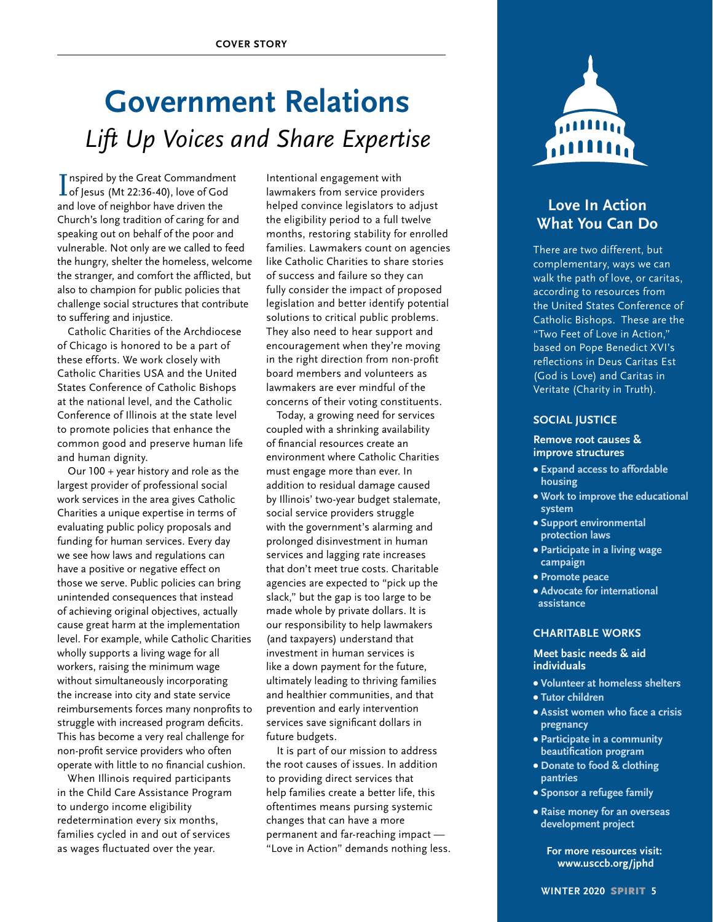# **Government Relations** *Lift Up Voices and Share Expertise*

I of Jesus (Mt 22:36-40), love of God **T** nspired by the Great Commandment and love of neighbor have driven the Church's long tradition of caring for and speaking out on behalf of the poor and vulnerable. Not only are we called to feed the hungry, shelter the homeless, welcome the stranger, and comfort the afflicted, but also to champion for public policies that challenge social structures that contribute to suffering and injustice.

Catholic Charities of the Archdiocese of Chicago is honored to be a part of these efforts. We work closely with Catholic Charities USA and the United States Conference of Catholic Bishops at the national level, and the Catholic Conference of Illinois at the state level to promote policies that enhance the common good and preserve human life and human dignity.

Our 100 + year history and role as the largest provider of professional social work services in the area gives Catholic Charities a unique expertise in terms of evaluating public policy proposals and funding for human services. Every day we see how laws and regulations can have a positive or negative effect on those we serve. Public policies can bring unintended consequences that instead of achieving original objectives, actually cause great harm at the implementation level. For example, while Catholic Charities wholly supports a living wage for all workers, raising the minimum wage without simultaneously incorporating the increase into city and state service reimbursements forces many nonprofits to struggle with increased program deficits. This has become a very real challenge for non-profit service providers who often operate with little to no financial cushion.

When Illinois required participants in the Child Care Assistance Program to undergo income eligibility redetermination every six months, families cycled in and out of services as wages fluctuated over the year.

Intentional engagement with lawmakers from service providers helped convince legislators to adjust the eligibility period to a full twelve months, restoring stability for enrolled families. Lawmakers count on agencies like Catholic Charities to share stories of success and failure so they can fully consider the impact of proposed legislation and better identify potential solutions to critical public problems. They also need to hear support and encouragement when they're moving in the right direction from non-profit board members and volunteers as lawmakers are ever mindful of the concerns of their voting constituents.

Today, a growing need for services coupled with a shrinking availability of financial resources create an environment where Catholic Charities must engage more than ever. In addition to residual damage caused by Illinois' two-year budget stalemate, social service providers struggle with the government's alarming and prolonged disinvestment in human services and lagging rate increases that don't meet true costs. Charitable agencies are expected to "pick up the slack," but the gap is too large to be made whole by private dollars. It is our responsibility to help lawmakers (and taxpayers) understand that investment in human services is like a down payment for the future, ultimately leading to thriving families and healthier communities, and that prevention and early intervention services save significant dollars in future budgets.

It is part of our mission to address the root causes of issues. In addition to providing direct services that help families create a better life, this oftentimes means pursing systemic changes that can have a more permanent and far-reaching impact — "Love in Action" demands nothing less.



# **Love In Action What You Can Do**

There are two different, but complementary, ways we can walk the path of love, or caritas, according to resources from the United States Conference of Catholic Bishops. These are the "Two Feet of Love in Action," based on Pope Benedict XVI's reflections in Deus Caritas Est (God is Love) and Caritas in Veritate (Charity in Truth).

#### **SOCIAL JUSTICE**

#### **Remove root causes & improve structures**

- **• Expand access to affordable housing**
- **• Work to improve the educational system**
- **• Support environmental protection laws**
- **• Participate in a living wage campaign**
- **Promote peace**
- **Advocate for international assistance**

#### **CHARITABLE WORKS**

#### **Meet basic needs & aid individuals**

- **Volunteer at homeless shelters**
- **• Tutor children**
- **• Assist women who face a crisis pregnancy**
- **• Participate in a community beautification program**
- **• Donate to food & clothing pantries**
- **Sponsor a refugee family**
- **• Raise money for an overseas development project**

**For more resources visit: www.usccb.org/jphd**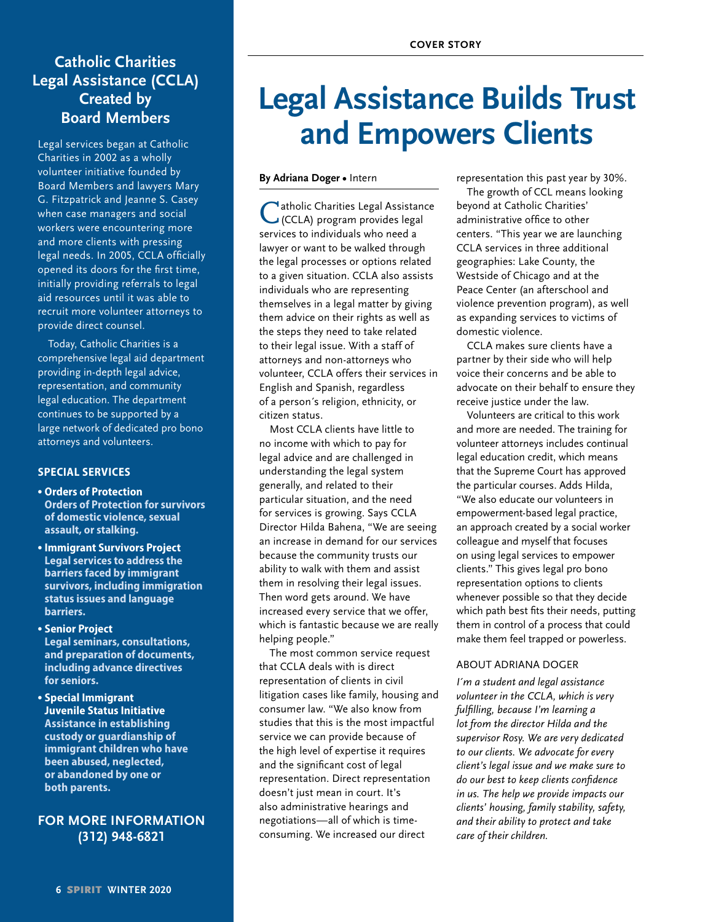# **Catholic Charities Legal Assistance (CCLA) Created by Board Members**

Legal services began at Catholic Charities in 2002 as a wholly volunteer initiative founded by Board Members and lawyers Mary G. Fitzpatrick and Jeanne S. Casey when case managers and social workers were encountering more and more clients with pressing legal needs. In 2005, CCLA officially opened its doors for the first time, initially providing referrals to legal aid resources until it was able to recruit more volunteer attorneys to provide direct counsel.

Today, Catholic Charities is a comprehensive legal aid department providing in-depth legal advice, representation, and community legal education. The department continues to be supported by a large network of dedicated pro bono attorneys and volunteers.

#### **SPECIAL SERVICES**

- **• Orders of Protection Orders of Protection for survivors of domestic violence, sexual assault, or stalking.**
- **• Immigrant Survivors Project Legal services to address the barriers faced by immigrant survivors, including immigration status issues and language barriers.**
- **• Senior Project Legal seminars, consultations, and preparation of documents, including advance directives**

**for seniors.**

**• Special Immigrant Juvenile Status Initiative Assistance in establishing custody or guardianship of immigrant children who have been abused, neglected, or abandoned by one or both parents.**

### **FOR MORE INFORMATION (312) 948-6821**

# **Legal Assistance Builds Trust and Empowers Clients**

**By Adriana Doger •** Intern

<sup>1</sup> atholic Charities Legal Assistance (CCLA) program provides legal services to individuals who need a lawyer or want to be walked through the legal processes or options related to a given situation. CCLA also assists individuals who are representing themselves in a legal matter by giving them advice on their rights as well as the steps they need to take related to their legal issue. With a staff of attorneys and non-attorneys who volunteer, CCLA offers their services in English and Spanish, regardless of a person´s religion, ethnicity, or citizen status.

Most CCLA clients have little to no income with which to pay for legal advice and are challenged in understanding the legal system generally, and related to their particular situation, and the need for services is growing. Says CCLA Director Hilda Bahena, "We are seeing an increase in demand for our services because the community trusts our ability to walk with them and assist them in resolving their legal issues. Then word gets around. We have increased every service that we offer, which is fantastic because we are really helping people."

The most common service request that CCLA deals with is direct representation of clients in civil litigation cases like family, housing and consumer law. "We also know from studies that this is the most impactful service we can provide because of the high level of expertise it requires and the significant cost of legal representation. Direct representation doesn't just mean in court. It's also administrative hearings and negotiations—all of which is timeconsuming. We increased our direct

representation this past year by 30%.

The growth of CCL means looking beyond at Catholic Charities' administrative office to other centers. "This year we are launching CCLA services in three additional geographies: Lake County, the Westside of Chicago and at the Peace Center (an afterschool and violence prevention program), as well as expanding services to victims of domestic violence.

CCLA makes sure clients have a partner by their side who will help voice their concerns and be able to advocate on their behalf to ensure they receive justice under the law.

Volunteers are critical to this work and more are needed. The training for volunteer attorneys includes continual legal education credit, which means that the Supreme Court has approved the particular courses. Adds Hilda, "We also educate our volunteers in empowerment-based legal practice, an approach created by a social worker colleague and myself that focuses on using legal services to empower clients." This gives legal pro bono representation options to clients whenever possible so that they decide which path best fits their needs, putting them in control of a process that could make them feel trapped or powerless.

#### ABOUT ADRIANA DOGER

*I´m a student and legal assistance volunteer in the CCLA, which is very fulfilling, because I'm learning a lot from the director Hilda and the supervisor Rosy. We are very dedicated to our clients. We advocate for every client's legal issue and we make sure to do our best to keep clients confidence in us. The help we provide impacts our clients' housing, family stability, safety, and their ability to protect and take care of their children.*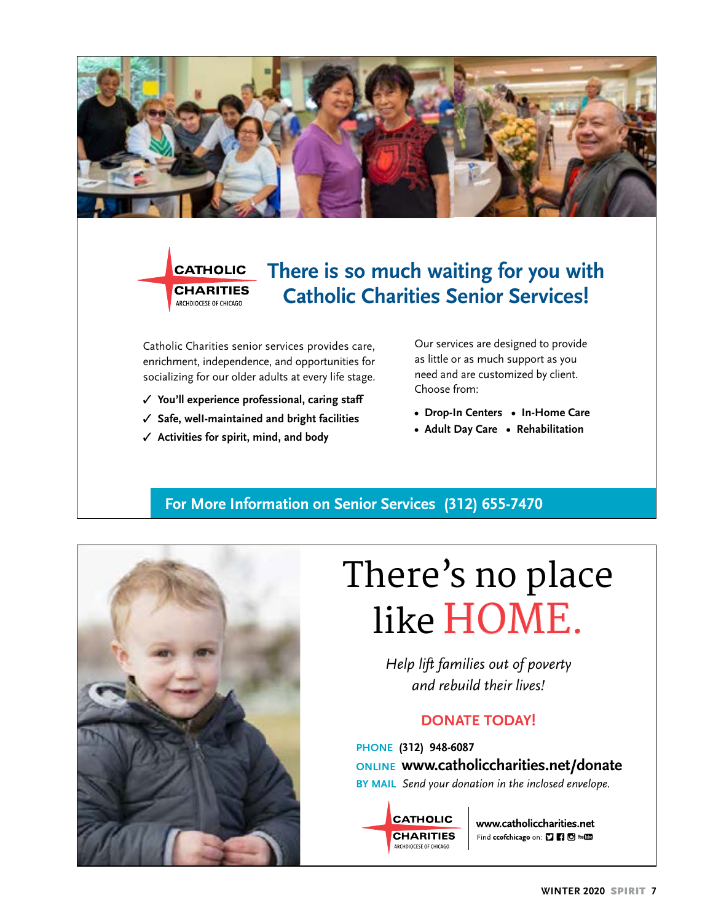

# **CATHOLIC CHARITIES** ARCHDIOCESE OF CHICAGO

# **There is so much waiting for you with Catholic Charities Senior Services!**

Catholic Charities senior services provides care, enrichment, independence, and opportunities for socializing for our older adults at every life stage.

- ✓ **You'll experience professional, caring staff**
- ✓ **Safe, welI-maintained and bright facilities**
- ✓ **Activities for spirit, mind, and body**

Our services are designed to provide as little or as much support as you need and are customized by client. Choose from:

- **Drop-In Centers In-Home Care**
- **Adult Day Care Rehabilitation**

# **For More Information on Senior Services (312) 655-7470**



# **There's no place like HOME.**

*Help lift families out of poverty and rebuild their lives!*

## **DONATE TODAY!**

**PHONE (312) 948-6087 ONLINE www.catholiccharities.net/donate BY MAIL** *Send your donation in the inclosed envelope.*

**CATHOLIC CHARITIES** ARCHDIOCESE OF CHICAGO

www.catholiccharities.net Find ccofchicago on: [] [] [] To You (11)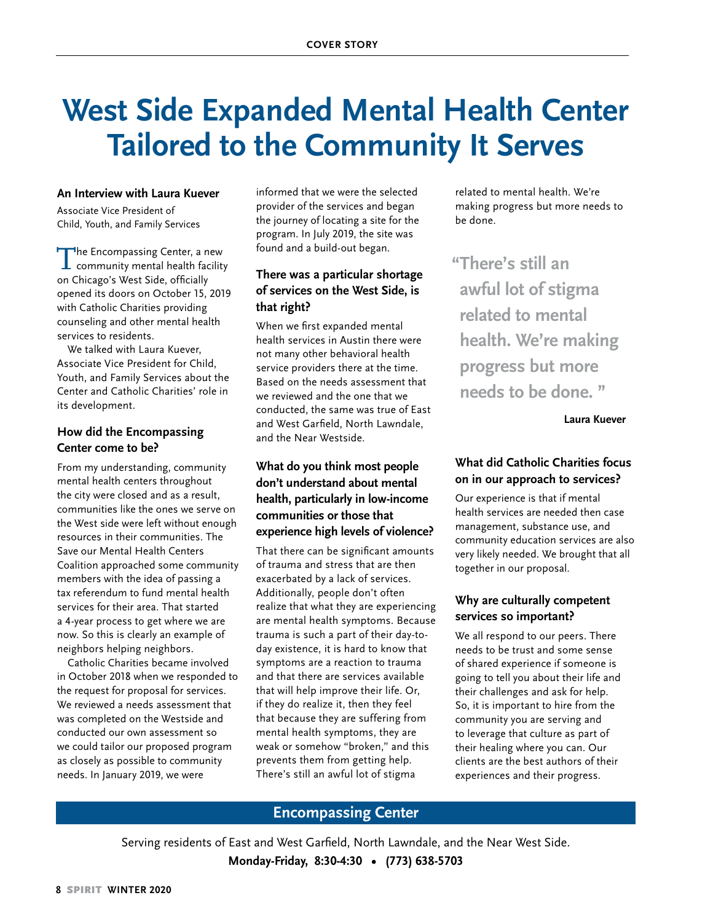# **West Side Expanded Mental Health Center Tailored to the Community It Serves**

#### **An Interview with Laura Kuever**

Associate Vice President of Child, Youth, and Family Services

The Encompassing Center, a new<br>community mental health facility on Chicago's West Side, officially opened its doors on October 15, 2019 with Catholic Charities providing counseling and other mental health services to residents.

We talked with Laura Kuever, Associate Vice President for Child, Youth, and Family Services about the Center and Catholic Charities' role in its development.

#### **How did the Encompassing Center come to be?**

From my understanding, community mental health centers throughout the city were closed and as a result, communities like the ones we serve on the West side were left without enough resources in their communities. The Save our Mental Health Centers Coalition approached some community members with the idea of passing a tax referendum to fund mental health services for their area. That started a 4-year process to get where we are now. So this is clearly an example of neighbors helping neighbors.

Catholic Charities became involved in October 2018 when we responded to the request for proposal for services. We reviewed a needs assessment that was completed on the Westside and conducted our own assessment so we could tailor our proposed program as closely as possible to community needs. In January 2019, we were

informed that we were the selected provider of the services and began the journey of locating a site for the program. In July 2019, the site was found and a build-out began.

#### **There was a particular shortage of services on the West Side, is that right?**

When we first expanded mental health services in Austin there were not many other behavioral health service providers there at the time. Based on the needs assessment that we reviewed and the one that we conducted, the same was true of East and West Garfield, North Lawndale, and the Near Westside.

### **What do you think most people don't understand about mental health, particularly in low-income communities or those that experience high levels of violence?**

That there can be significant amounts of trauma and stress that are then exacerbated by a lack of services. Additionally, people don't often realize that what they are experiencing are mental health symptoms. Because trauma is such a part of their day-today existence, it is hard to know that symptoms are a reaction to trauma and that there are services available that will help improve their life. Or, if they do realize it, then they feel that because they are suffering from mental health symptoms, they are weak or somehow "broken," and this prevents them from getting help. There's still an awful lot of stigma

related to mental health. We're making progress but more needs to be done.

**"There's still an awful lot of stigma related to mental health. We're making progress but more needs to be done. "** 

**Laura Kuever**

### **What did Catholic Charities focus on in our approach to services?**

Our experience is that if mental health services are needed then case management, substance use, and community education services are also very likely needed. We brought that all together in our proposal.

#### **Why are culturally competent services so important?**

We all respond to our peers. There needs to be trust and some sense of shared experience if someone is going to tell you about their life and their challenges and ask for help. So, it is important to hire from the community you are serving and to leverage that culture as part of their healing where you can. Our clients are the best authors of their experiences and their progress.

#### **Encompassing Center**

Serving residents of East and West Garfield, North Lawndale, and the Near West Side. **Monday-Friday, 8:30-4:30 • (773) 638-5703**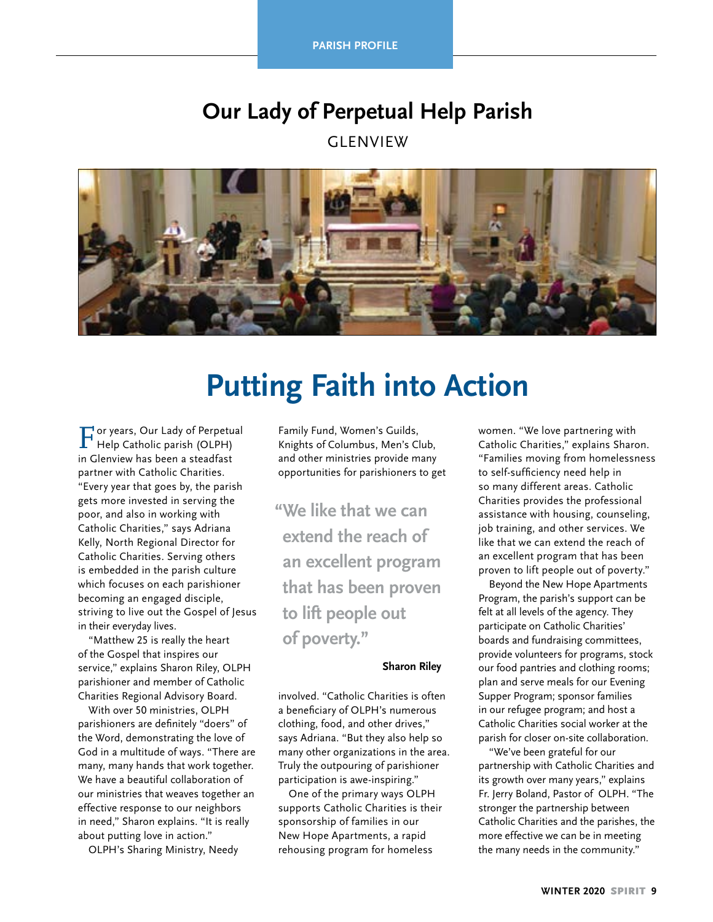**PARISH PROFILE** 

# **Our Lady of Perpetual Help Parish**

**GLENVIEW** 



# **Putting Faith into Action**

For years, Our Lady of Perpetual Help Catholic parish (OLPH) in Glenview has been a steadfast partner with Catholic Charities. "Every year that goes by, the parish gets more invested in serving the poor, and also in working with Catholic Charities," says Adriana Kelly, North Regional Director for Catholic Charities. Serving others is embedded in the parish culture which focuses on each parishioner becoming an engaged disciple, striving to live out the Gospel of Jesus in their everyday lives.

"Matthew 25 is really the heart of the Gospel that inspires our service," explains Sharon Riley, OLPH parishioner and member of Catholic Charities Regional Advisory Board.

With over 50 ministries, OLPH parishioners are definitely "doers" of the Word, demonstrating the love of God in a multitude of ways. "There are many, many hands that work together. We have a beautiful collaboration of our ministries that weaves together an effective response to our neighbors in need," Sharon explains. "It is really about putting love in action."

OLPH's Sharing Ministry, Needy

Family Fund, Women's Guilds, Knights of Columbus, Men's Club, and other ministries provide many opportunities for parishioners to get

**"We like that we can extend the reach of an excellent program that has been proven to lift people out of poverty."** 

#### **Sharon Riley**

involved. "Catholic Charities is often a beneficiary of OLPH's numerous clothing, food, and other drives," says Adriana. "But they also help so many other organizations in the area. Truly the outpouring of parishioner participation is awe-inspiring."

One of the primary ways OLPH supports Catholic Charities is their sponsorship of families in our New Hope Apartments, a rapid rehousing program for homeless

women. "We love partnering with Catholic Charities," explains Sharon. "Families moving from homelessness to self-sufficiency need help in so many different areas. Catholic Charities provides the professional assistance with housing, counseling, job training, and other services. We like that we can extend the reach of an excellent program that has been proven to lift people out of poverty."

Beyond the New Hope Apartments Program, the parish's support can be felt at all levels of the agency. They participate on Catholic Charities' boards and fundraising committees, provide volunteers for programs, stock our food pantries and clothing rooms; plan and serve meals for our Evening Supper Program; sponsor families in our refugee program; and host a Catholic Charities social worker at the parish for closer on-site collaboration.

"We've been grateful for our partnership with Catholic Charities and its growth over many years," explains Fr. Jerry Boland, Pastor of OLPH. "The stronger the partnership between Catholic Charities and the parishes, the more effective we can be in meeting the many needs in the community."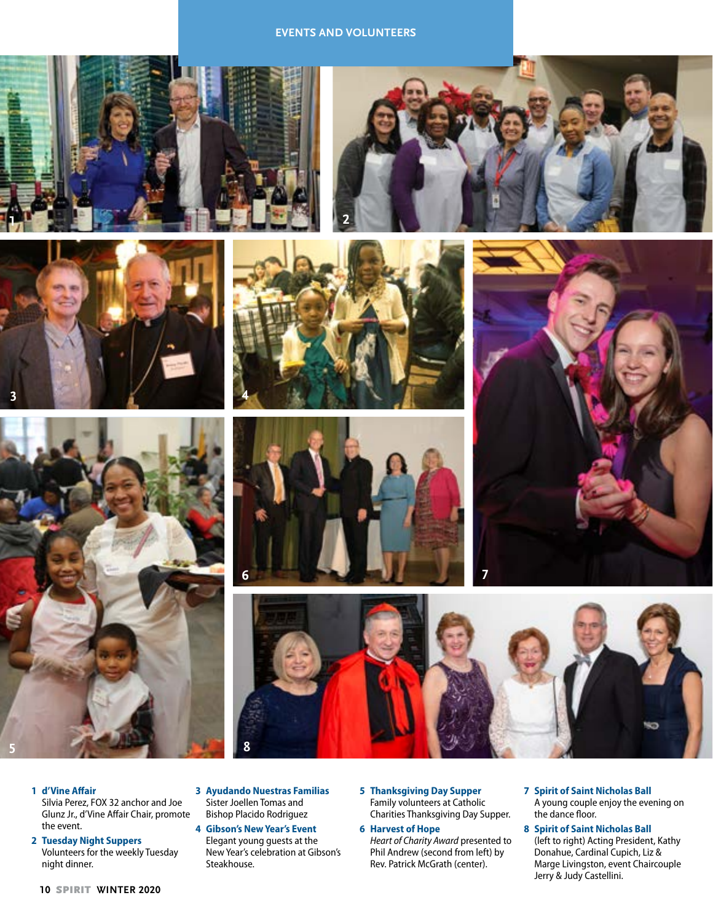#### **EVENTS AND VOLUNTEERS**















- **1 d'Vine Affair**
	- Silvia Perez, FOX 32 anchor and Joe Glunz Jr., d'Vine Affair Chair, promote the event.
- **2 Tuesday Night Suppers** Volunteers for the weekly Tuesday night dinner.
- **3 Ayudando Nuestras Familias**  Sister Joellen Tomas and Bishop Placido Rodriguez
- **4 Gibson's New Year's Event** Elegant young guests at the New Year's celebration at Gibson's Steakhouse.
- **5 Thanksgiving Day Supper** Family volunteers at Catholic Charities Thanksgiving Day Supper.
- **6 Harvest of Hope** *Heart of Charity Award* presented to Phil Andrew (second from left) by Rev. Patrick McGrath (center).
- **7 Spirit of Saint Nicholas Ball** A young couple enjoy the evening on the dance floor.
- **8 Spirit of Saint Nicholas Ball** (left to right) Acting President, Kathy Donahue, Cardinal Cupich, Liz & Marge Livingston, event Chaircouple Jerry & Judy Castellini.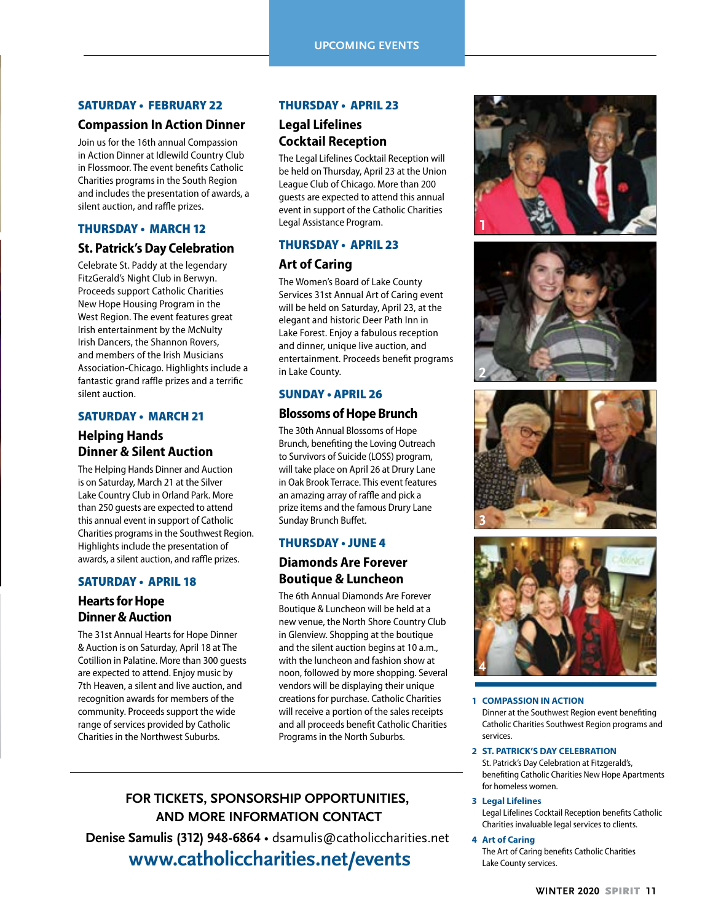#### SATURDAY • FEBRUARY 22

#### **Compassion In Action Dinner**

Join us for the 16th annual Compassion in Action Dinner at Idlewild Country Club in Flossmoor. The event benefits Catholic Charities programs in the South Region and includes the presentation of awards, a silent auction, and raffle prizes.

#### THURSDAY • MARCH 12

#### **St. Patrick's Day Celebration**

Celebrate St. Paddy at the legendary FitzGerald's Night Club in Berwyn. Proceeds support Catholic Charities New Hope Housing Program in the West Region. The event features great Irish entertainment by the McNulty Irish Dancers, the Shannon Rovers, and members of the Irish Musicians Association-Chicago. Highlights include a fantastic grand raffle prizes and a terrific silent auction.

#### SATURDAY • MARCH 21

### **Helping Hands Dinner & Silent Auction**

The Helping Hands Dinner and Auction is on Saturday, March 21 at the Silver Lake Country Club in Orland Park. More than 250 guests are expected to attend this annual event in support of Catholic Charities programs in the Southwest Region. Highlights include the presentation of awards, a silent auction, and raffle prizes.

#### SATURDAY • APRIL 18

#### **Hearts for Hope Dinner & Auction**

The 31st Annual Hearts for Hope Dinner & Auction is on Saturday, April 18 at The Cotillion in Palatine. More than 300 guests are expected to attend. Enjoy music by 7th Heaven, a silent and live auction, and recognition awards for members of the community. Proceeds support the wide range of services provided by Catholic Charities in the Northwest Suburbs.

#### THURSDAY • APRIL 23

#### **Legal Lifelines Cocktail Reception**

The Legal Lifelines Cocktail Reception will be held on Thursday, April 23 at the Union League Club of Chicago. More than 200 guests are expected to attend this annual event in support of the Catholic Charities Legal Assistance Program.

#### THURSDAY • APRIL 23

#### **Art of Caring**

The Women's Board of Lake County Services 31st Annual Art of Caring event will be held on Saturday, April 23, at the elegant and historic Deer Path Inn in Lake Forest. Enjoy a fabulous reception and dinner, unique live auction, and entertainment. Proceeds benefit programs in Lake County.

#### SUNDAY • APRIL 26

#### **Blossoms of Hope Brunch**

The 30th Annual Blossoms of Hope Brunch, benefiting the Loving Outreach to Survivors of Suicide (LOSS) program, will take place on April 26 at Drury Lane in Oak Brook Terrace. This event features an amazing array of raffle and pick a prize items and the famous Drury Lane Sunday Brunch Buffet.

#### THURSDAY • JUNE 4

### **Diamonds Are Forever Boutique & Luncheon**

The 6th Annual Diamonds Are Forever Boutique & Luncheon will be held at a new venue, the North Shore Country Club in Glenview. Shopping at the boutique and the silent auction begins at 10 a.m., with the luncheon and fashion show at noon, followed by more shopping. Several vendors will be displaying their unique creations for purchase. Catholic Charities will receive a portion of the sales receipts and all proceeds benefit Catholic Charities Programs in the North Suburbs.

# **FOR TICKETS, SPONSORSHIP OPPORTUNITIES, AND MORE INFORMATION CONTACT**

**Denise Samulis (312) 948-6864** • dsamulis@catholiccharities.net  **www.catholiccharities.net/events**









#### **1 COMPASSION IN ACTION**

Dinner at the Southwest Region event benefiting Catholic Charities Southwest Region programs and services.

#### **2 ST. PATRICK'S DAY CELEBRATION**

St. Patrick's Day Celebration at Fitzgerald's, benefiting Catholic Charities New Hope Apartments for homeless women.

#### **3 Legal Lifelines**

Legal Lifelines Cocktail Reception benefits Catholic Charities invaluable legal services to clients.

#### **4 Art of Caring**

The Art of Caring benefits Catholic Charities Lake County services.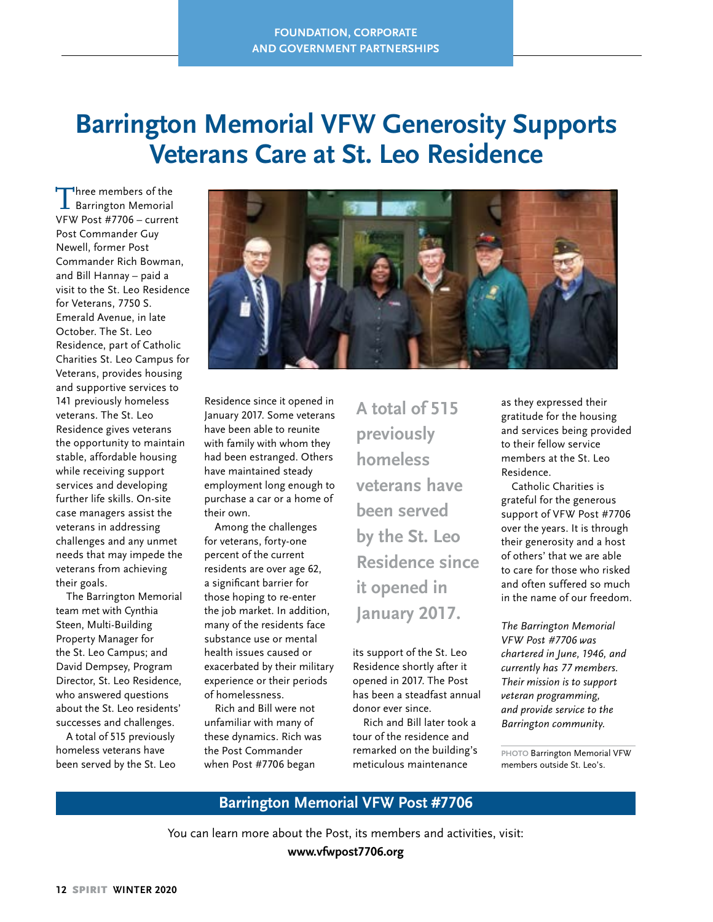# **Barrington Memorial VFW Generosity Supports Veterans Care at St. Leo Residence**

Three members of the<br>Barrington Memorial VFW Post #7706 – current Post Commander Guy Newell, former Post Commander Rich Bowman, and Bill Hannay – paid a visit to the St. Leo Residence for Veterans, 7750 S. Emerald Avenue, in late October. The St. Leo Residence, part of Catholic Charities St. Leo Campus for Veterans, provides housing and supportive services to 141 previously homeless veterans. The St. Leo Residence gives veterans the opportunity to maintain stable, affordable housing while receiving support services and developing further life skills. On-site case managers assist the veterans in addressing challenges and any unmet needs that may impede the veterans from achieving their goals.

The Barrington Memorial team met with Cynthia Steen, Multi-Building Property Manager for the St. Leo Campus; and David Dempsey, Program Director, St. Leo Residence, who answered questions about the St. Leo residents' successes and challenges.

A total of 515 previously homeless veterans have been served by the St. Leo



Residence since it opened in January 2017. Some veterans have been able to reunite with family with whom they had been estranged. Others have maintained steady employment long enough to purchase a car or a home of their own.

Among the challenges for veterans, forty-one percent of the current residents are over age 62, a significant barrier for those hoping to re-enter the job market. In addition, many of the residents face substance use or mental health issues caused or exacerbated by their military experience or their periods of homelessness.

Rich and Bill were not unfamiliar with many of these dynamics. Rich was the Post Commander when Post #7706 began

**A total of 515 previously homeless veterans have been served by the St. Leo Residence since it opened in January 2017.**

its support of the St. Leo Residence shortly after it opened in 2017. The Post has been a steadfast annual donor ever since.

Rich and Bill later took a tour of the residence and remarked on the building's meticulous maintenance

as they expressed their gratitude for the housing and services being provided to their fellow service members at the St. Leo Residence.

Catholic Charities is grateful for the generous support of VFW Post #7706 over the years. It is through their generosity and a host of others' that we are able to care for those who risked and often suffered so much in the name of our freedom.

*The Barrington Memorial VFW Post #7706 was chartered in June, 1946, and currently has 77 members. Their mission is to support veteran programming, and provide service to the Barrington community.* 

**PHOTO** Barrington Memorial VFW members outside St. Leo's.

**Barrington Memorial VFW Post #7706**

You can learn more about the Post, its members and activities, visit: **www.vfwpost7706.org**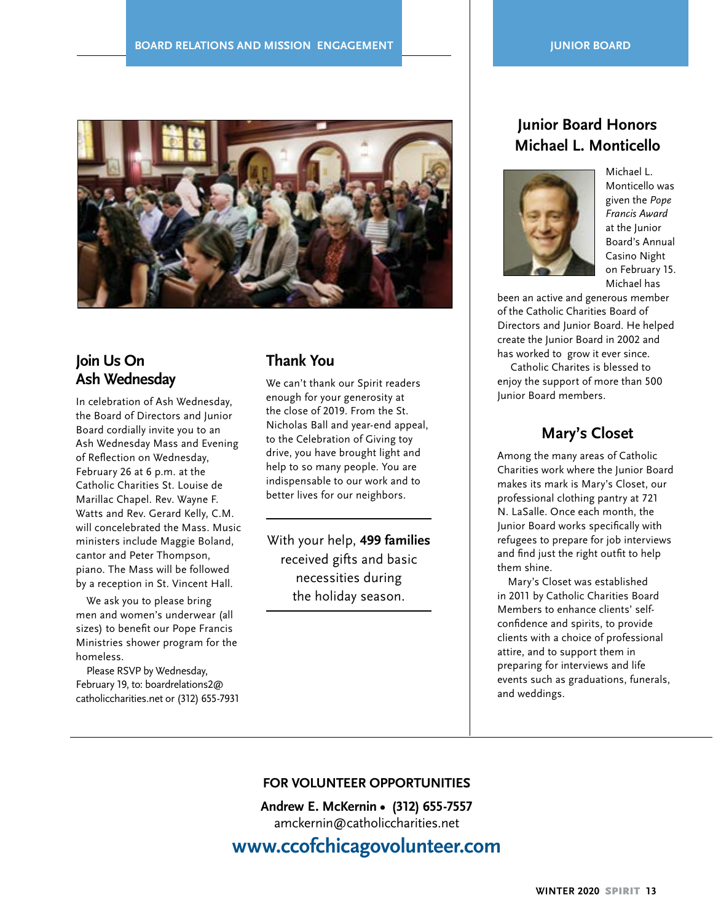

# **Join Us On Ash Wednesday**

In celebration of Ash Wednesday, the Board of Directors and Junior Board cordially invite you to an Ash Wednesday Mass and Evening of Reflection on Wednesday, February 26 at 6 p.m. at the Catholic Charities St. Louise de Marillac Chapel. Rev. Wayne F. Watts and Rev. Gerard Kelly, C.M. will concelebrated the Mass. Music ministers include Maggie Boland, cantor and Peter Thompson, piano. The Mass will be followed by a reception in St. Vincent Hall.

We ask you to please bring men and women's underwear (all sizes) to benefit our Pope Francis Ministries shower program for the homeless.

Please RSVP by Wednesday, February 19, to: boardrelations2@ catholiccharities.net or (312) 655-7931

# **Thank You**

We can't thank our Spirit readers enough for your generosity at the close of 2019. From the St. Nicholas Ball and year-end appeal, to the Celebration of Giving toy drive, you have brought light and help to so many people. You are indispensable to our work and to better lives for our neighbors.

With your help, **499 families**  received gifts and basic necessities during the holiday season.

# **Junior Board Honors Michael L. Monticello**



Michael L. Monticello was given the *Pope Francis Award*  at the Junior Board's Annual Casino Night on February 15. Michael has

been an active and generous member of the Catholic Charities Board of Directors and Junior Board. He helped create the Junior Board in 2002 and has worked to grow it ever since.

 Catholic Charites is blessed to enjoy the support of more than 500 Junior Board members.

## **Mary's Closet**

Among the many areas of Catholic Charities work where the Junior Board makes its mark is Mary's Closet, our professional clothing pantry at 721 N. LaSalle. Once each month, the Junior Board works specifically with refugees to prepare for job interviews and find just the right outfit to help them shine.

Mary's Closet was established in 2011 by Catholic Charities Board Members to enhance clients' selfconfidence and spirits, to provide clients with a choice of professional attire, and to support them in preparing for interviews and life events such as graduations, funerals, and weddings.

#### **FOR VOLUNTEER OPPORTUNITIES**

**Andrew E. McKernin • (312) 655-7557** amckernin@catholiccharities.net

**www.ccofchicagovolunteer.com**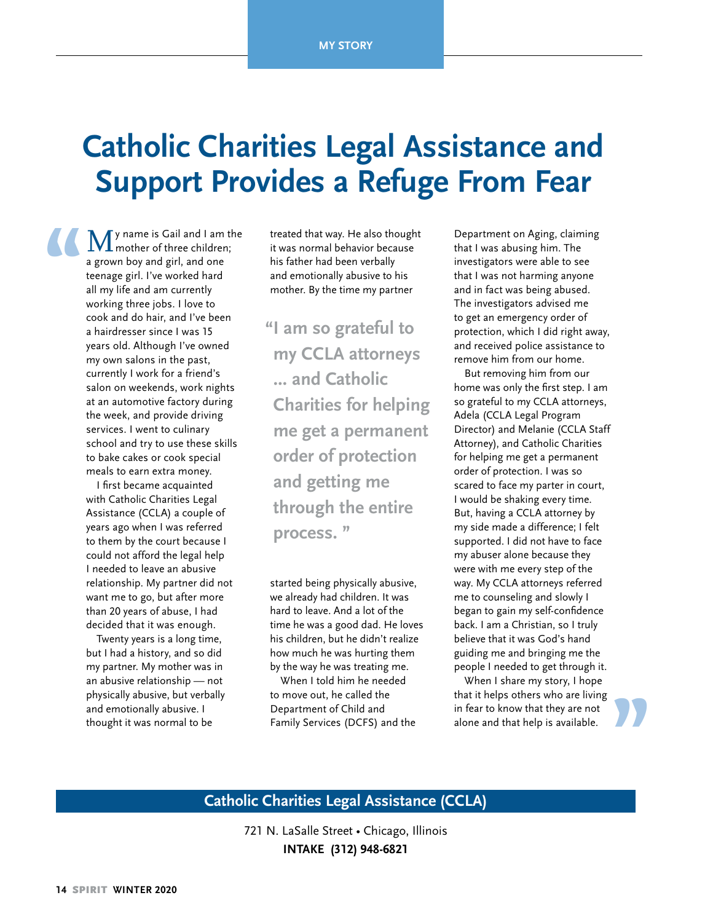# **Catholic Charities Legal Assistance and Support Provides a Refuge From Fear**

My name is Gail and I am the mother of three children; a grown boy and girl, and one teenage girl. I've worked hard all my life and am currently working three jobs. I love to cook and do hair, and I've been a hairdresser since I was 15 years old. Although I've owned my own salons in the past, currently I work for a friend's salon on weekends, work nights at an automotive factory during the week, and provide driving services. I went to culinary school and try to use these skills to bake cakes or cook special meals to earn extra money. **"**

> I first became acquainted with Catholic Charities Legal Assistance (CCLA) a couple of years ago when I was referred to them by the court because I could not afford the legal help I needed to leave an abusive relationship. My partner did not want me to go, but after more than 20 years of abuse, I had decided that it was enough.

Twenty years is a long time, but I had a history, and so did my partner. My mother was in an abusive relationship — not physically abusive, but verbally and emotionally abusive. I thought it was normal to be

treated that way. He also thought it was normal behavior because his father had been verbally and emotionally abusive to his mother. By the time my partner

**"I am so grateful to my CCLA attorneys ... and Catholic Charities for helping me get a permanent order of protection and getting me through the entire process. "**

started being physically abusive, we already had children. It was hard to leave. And a lot of the time he was a good dad. He loves his children, but he didn't realize how much he was hurting them by the way he was treating me.

When I told him he needed to move out, he called the Department of Child and Family Services (DCFS) and the

Department on Aging, claiming that I was abusing him. The investigators were able to see that I was not harming anyone and in fact was being abused. The investigators advised me to get an emergency order of protection, which I did right away, and received police assistance to remove him from our home.

But removing him from our home was only the first step. I am so grateful to my CCLA attorneys, Adela (CCLA Legal Program Director) and Melanie (CCLA Staff Attorney), and Catholic Charities for helping me get a permanent order of protection. I was so scared to face my parter in court, I would be shaking every time. But, having a CCLA attorney by my side made a difference; I felt supported. I did not have to face my abuser alone because they were with me every step of the way. My CCLA attorneys referred me to counseling and slowly I began to gain my self-confidence back. I am a Christian, so I truly believe that it was God's hand guiding me and bringing me the people I needed to get through it.

When I share my story, I hope that it helps others who are living in fear to know that they are not alone and that help is available.

**"**

### **Catholic Charities Legal Assistance (CCLA)**

721 N. LaSalle Street • Chicago, Illinois **INTAKE (312) 948-6821**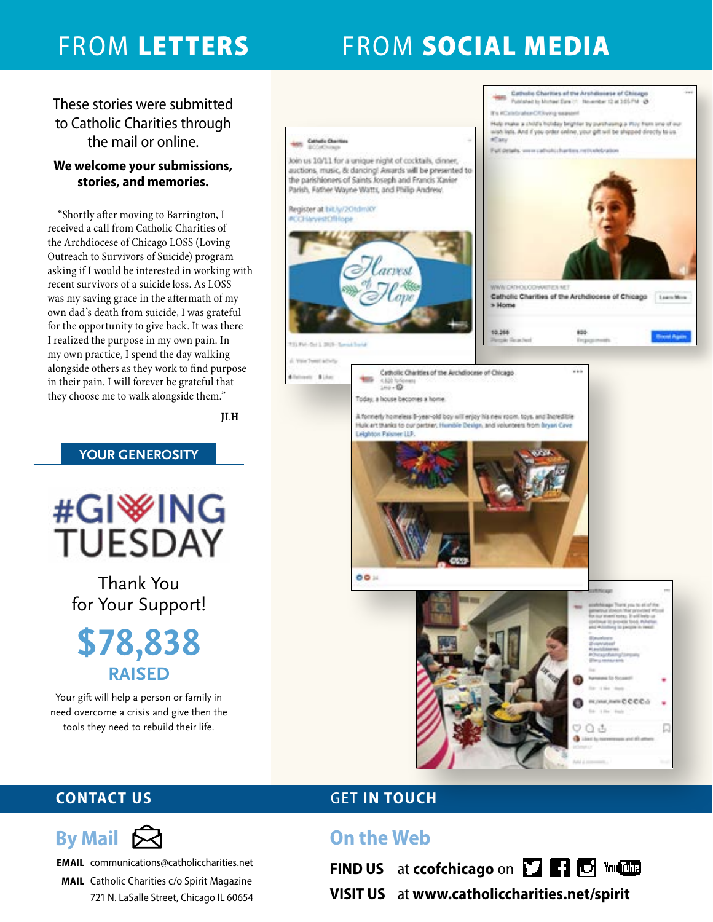# FROM LETTERS FROM SOCIAL MEDIA

These stories were submitted to Catholic Charities through the mail or online.

### **We welcome your submissions, stories, and memories.**

"Shortly after moving to Barrington, I received a call from Catholic Charities of the Archdiocese of Chicago LOSS (Loving Outreach to Survivors of Suicide) program asking if I would be interested in working with recent survivors of a suicide loss. As LOSS was my saving grace in the aftermath of my own dad's death from suicide, I was grateful for the opportunity to give back. It was there I realized the purpose in my own pain. In my own practice, I spend the day walking alongside others as they work to find purpose in their pain. I will forever be grateful that they choose me to walk alongside them."

**JLH**

### **YOUR GENEROSITY**



Thank You for Your Support!

**\$78,838 RAISED**

Your gift will help a person or family in need overcome a crisis and give then the tools they need to rebuild their life.



# **CONTACT US GET IN TOUCH**

# **On the Web**

**FIND US** at **ccofchicago** on **TTP C** Young



**EMAIL** communications@catholiccharities.net

**MAIL** Catholic Charities c/o Spirit Magazine 721 N. LaSalle Street, Chicago IL 60654

# **VISIT US** at **www.catholiccharities.net/spirit**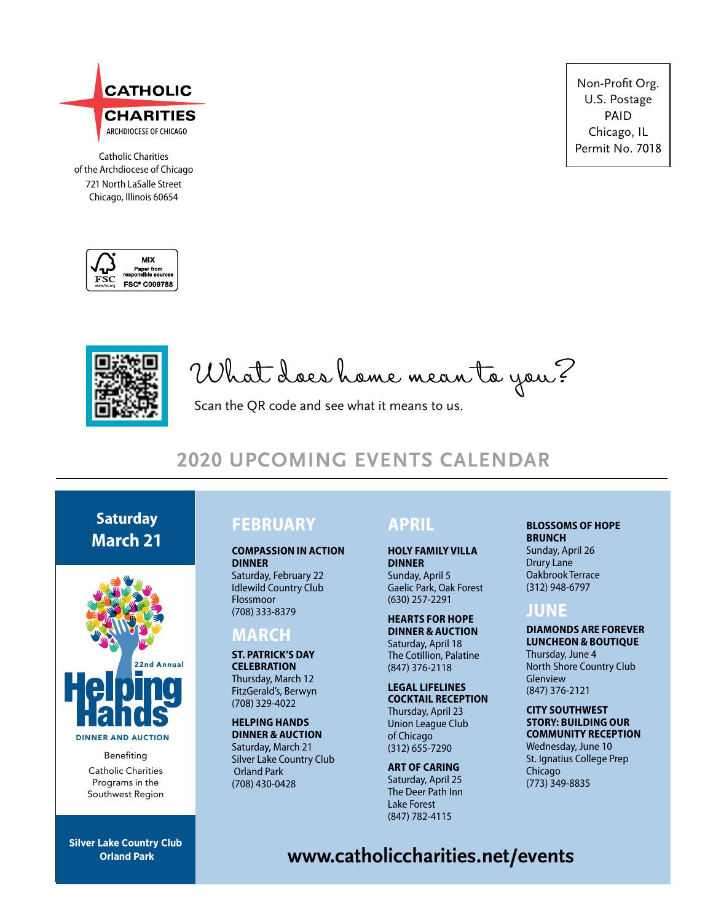

**CHARITIES** ARCHDIOCESE OF CHICAGO

Catholic Charities of the Archdiocese of Chicago 721 North LaSalle Street Chicago, Illinois 60654





What does home mean to you?

Scan the QR code and see what it means to us.

# **2020 UPCOMING EVENTS CALENDAR**

# **Saturday March 21**



DINNER AND AUCTION

Benefiting Catholic Charities Programs in the Southwest Region

**Silver Lake Country Club Orland Park**

# **FEBRUARY**

#### **COMPASSION IN ACTION DINNER**

Saturday, February 22 Idlewild Country Club Flossmoor (708) 333-8379

### **MARCH**

#### **ST. PATRICK'S DAY CELEBRATION**

Thursday, March 12 FitzGerald's, Berwyn (708) 329-4022

**HELPING HANDS DINNER & AUCTION** Saturday, March 21 Silver Lake Country Club Orland Park (708) 430-0428

# **APRIL**

### **HOLY FAMILY VILLA DINNER**

Sunday, April 5 Gaelic Park, Oak Forest (630) 257-2291

#### **HEARTS FOR HOPE DINNER & AUCTION** Saturday, April 18 The Cotillion, Palatine (847) 376-2118

#### **LEGAL LIFELINES COCKTAIL RECEPTION** Thursday, April 23 Union League Club of Chicago (312) 655-7290

**ART OF CARING** Saturday, April 25 The Deer Path Inn

Lake Forest (847) 782-4115

Non-Profit Org. U.S. Postage PAID Chicago, IL Permit No. 7018

#### **BLOSSOMS OF HOPE BRUNCH**

Sunday, April 26 Drury Lane Oakbrook Terrace (312) 948-6797

## **JUNE**

#### **DIAMONDS ARE FOREVER LUNCHEON & BOUTIQUE**

Thursday, June 4 North Shore Country Club Glenview (847) 376-2121

#### **CITY SOUTHWEST STORY: BUILDING OUR COMMUNITY RECEPTION**

Wednesday, June 10 St. Ignatius College Prep Chicago (773) 349-8835

**www.catholiccharities.net/events**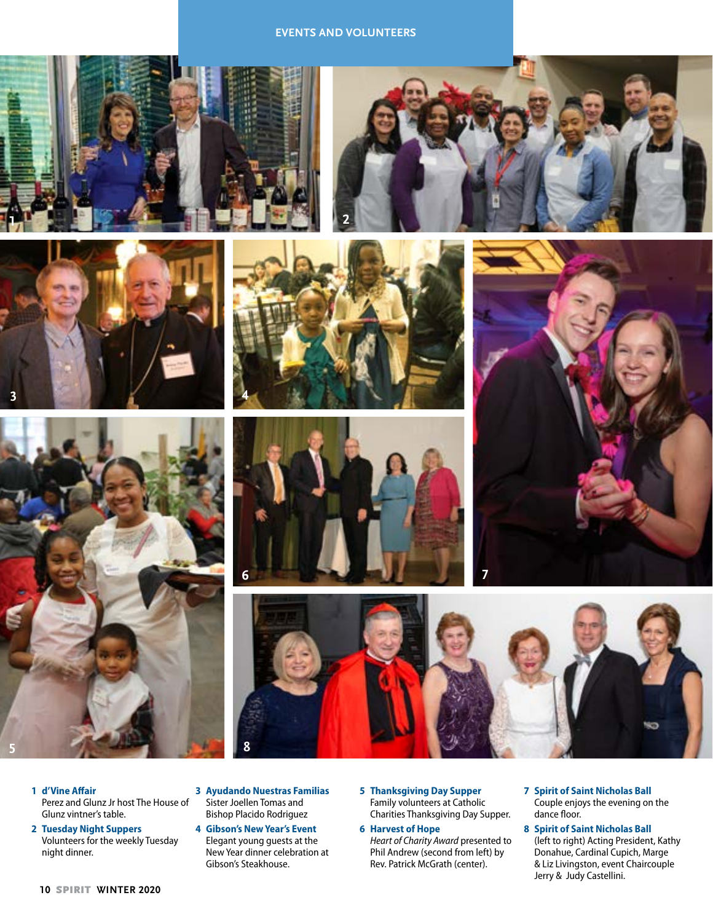#### **EVENTS AND VOLUNTEERS**















- **2 Tuesday Night Suppers** Volunteers for the weekly Tuesday night dinner.
- **3 Ayudando Nuestras Familias**  Sister Joellen Tomas and Bishop Placido Rodriguez

**8**

- **4 Gibson's New Year's Event** Elegant young guests at the New Year dinner celebration at Gibson's Steakhouse.
- **5 Thanksgiving Day Supper** Family volunteers at Catholic Charities Thanksgiving Day Supper.
- **6 Harvest of Hope** *Heart of Charity Award* presented to Phil Andrew (second from left) by Rev. Patrick McGrath (center).
- **7 Spirit of Saint Nicholas Ball** Couple enjoys the evening on the dance floor.

**8 Spirit of Saint Nicholas Ball** (left to right) Acting President, Kathy Donahue, Cardinal Cupich, Marge & Liz Livingston, event Chaircouple Jerry & Judy Castellini.

**10** SPIRIT **WINTER 2020**